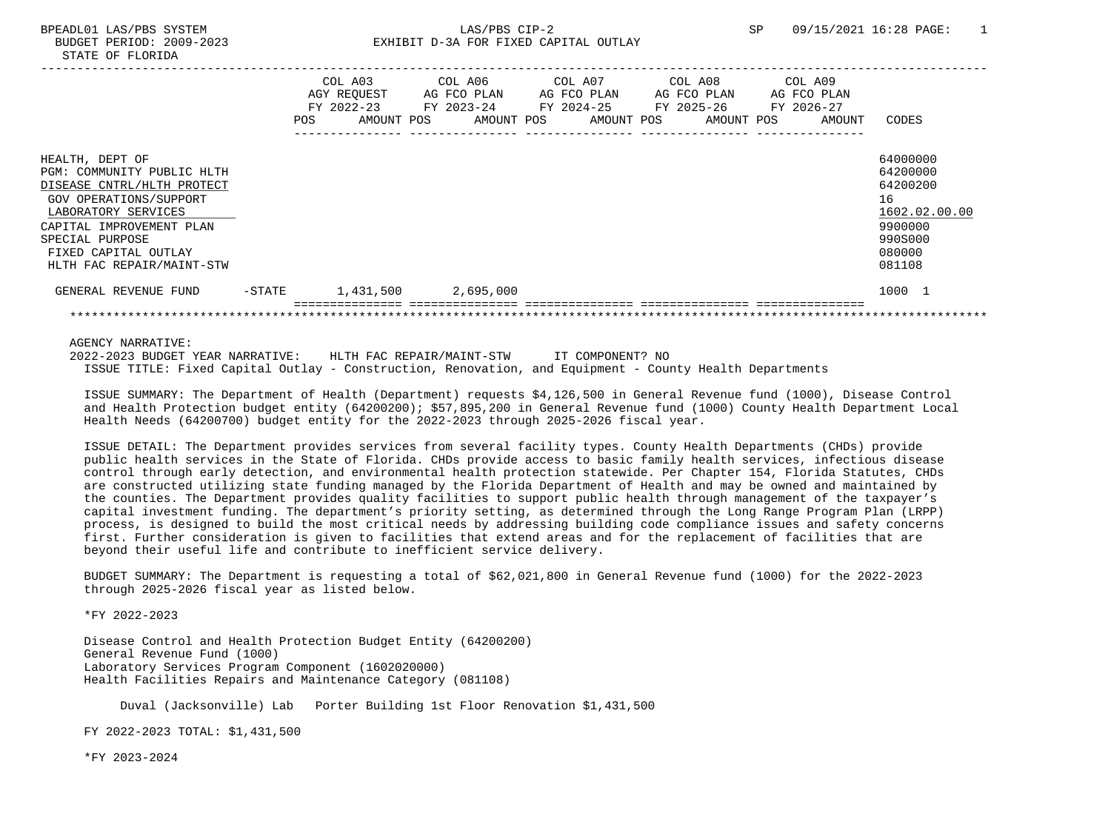|                                                                                                                                                                                                                                  | POS    | COL A03<br>AGY REOUEST<br>FY 2022-23<br>AMOUNT POS | COL A06 | AG FCO PLAN<br>FY 2023-24<br>AMOUNT POS | COL A07<br>AG FCO PLAN<br>FY 2024-25<br>AMOUNT POS | COL A08<br>AG FCO PLAN<br>FY 2025-26<br>AMOUNT POS | COL A09<br>AG FCO PLAN<br>FY 2026-27<br>AMOUNT | CODES                                                                                             |
|----------------------------------------------------------------------------------------------------------------------------------------------------------------------------------------------------------------------------------|--------|----------------------------------------------------|---------|-----------------------------------------|----------------------------------------------------|----------------------------------------------------|------------------------------------------------|---------------------------------------------------------------------------------------------------|
| HEALTH, DEPT OF<br>PGM: COMMUNITY PUBLIC HLTH<br>DISEASE CNTRL/HLTH PROTECT<br>GOV OPERATIONS/SUPPORT<br>LABORATORY SERVICES<br>CAPITAL IMPROVEMENT PLAN<br>SPECIAL PURPOSE<br>FIXED CAPITAL OUTLAY<br>HLTH FAC REPAIR/MAINT-STW |        |                                                    |         |                                         |                                                    |                                                    |                                                | 64000000<br>64200000<br>64200200<br>16<br>1602.02.00.00<br>9900000<br>990S000<br>080000<br>081108 |
| GENERAL REVENUE FUND                                                                                                                                                                                                             | -STATE | 1,431,500                                          |         | 2,695,000                               |                                                    |                                                    |                                                | 1000 1                                                                                            |
|                                                                                                                                                                                                                                  |        |                                                    |         |                                         |                                                    |                                                    |                                                |                                                                                                   |

AGENCY NARRATIVE:

 2022-2023 BUDGET YEAR NARRATIVE: HLTH FAC REPAIR/MAINT-STW IT COMPONENT? NO ISSUE TITLE: Fixed Capital Outlay - Construction, Renovation, and Equipment - County Health Departments

 ISSUE SUMMARY: The Department of Health (Department) requests \$4,126,500 in General Revenue fund (1000), Disease Control and Health Protection budget entity (64200200); \$57,895,200 in General Revenue fund (1000) County Health Department Local Health Needs (64200700) budget entity for the 2022-2023 through 2025-2026 fiscal year.

 ISSUE DETAIL: The Department provides services from several facility types. County Health Departments (CHDs) provide public health services in the State of Florida. CHDs provide access to basic family health services, infectious disease control through early detection, and environmental health protection statewide. Per Chapter 154, Florida Statutes, CHDs are constructed utilizing state funding managed by the Florida Department of Health and may be owned and maintained by the counties. The Department provides quality facilities to support public health through management of the taxpayer's capital investment funding. The department's priority setting, as determined through the Long Range Program Plan (LRPP) process, is designed to build the most critical needs by addressing building code compliance issues and safety concerns first. Further consideration is given to facilities that extend areas and for the replacement of facilities that are beyond their useful life and contribute to inefficient service delivery.

 BUDGET SUMMARY: The Department is requesting a total of \$62,021,800 in General Revenue fund (1000) for the 2022-2023 through 2025-2026 fiscal year as listed below.

\*FY 2022-2023

 Disease Control and Health Protection Budget Entity (64200200) General Revenue Fund (1000) Laboratory Services Program Component (1602020000) Health Facilities Repairs and Maintenance Category (081108)

Duval (Jacksonville) Lab Porter Building 1st Floor Renovation \$1,431,500

FY 2022-2023 TOTAL: \$1,431,500

\*FY 2023-2024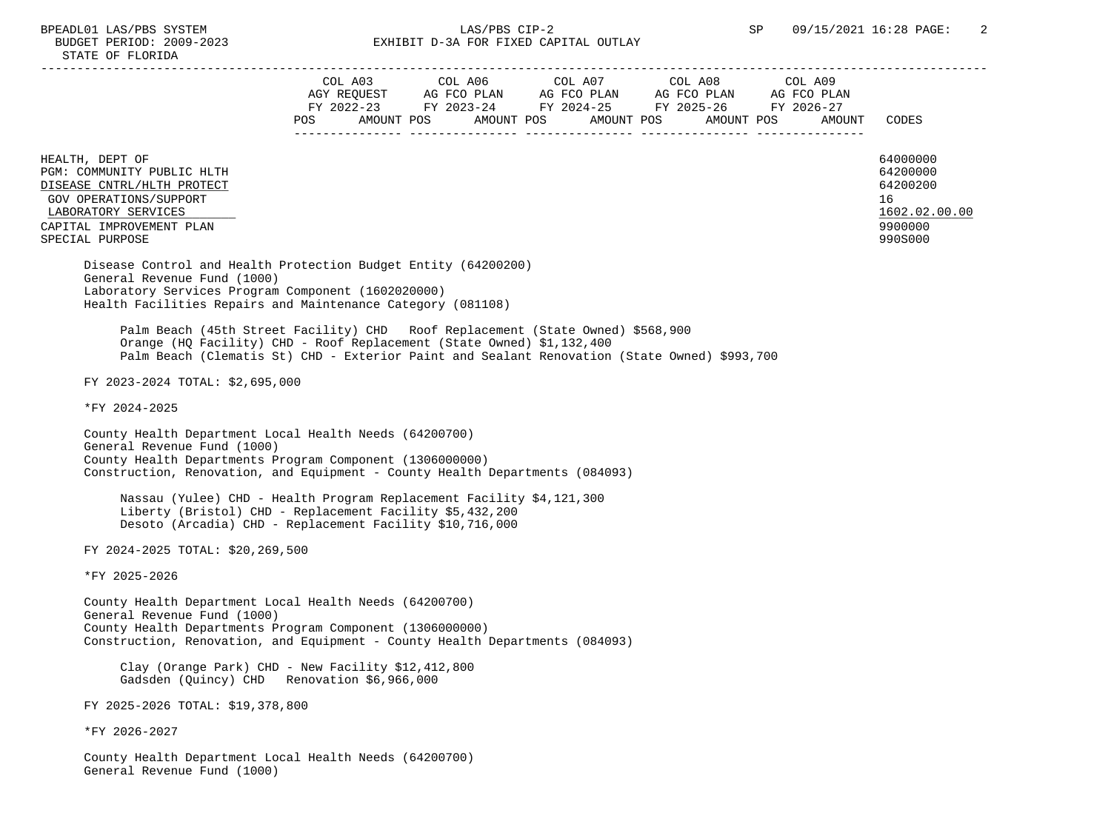|                                                                                                                                                                                                                                                         |  | $\begin{tabular}{lcccccc} COL & A03 & COL & A06 & COL & A07 & COL & A08 & COL & A09 \\ AGY & REQUEST & AG & FCO & PLAN & AG & FCO & PLAN & AG & FCO & PLAN & AG & FCO & PLAN \\ \end{tabular}$ |        |                                                                    |
|---------------------------------------------------------------------------------------------------------------------------------------------------------------------------------------------------------------------------------------------------------|--|------------------------------------------------------------------------------------------------------------------------------------------------------------------------------------------------|--------|--------------------------------------------------------------------|
|                                                                                                                                                                                                                                                         |  | FY 2022-23 FY 2023-24 FY 2024-25 FY 2025-26 FY 2026-27<br>POS AMOUNT POS AMOUNT POS AMOUNT POS AMOUNT POS                                                                                      | AMOUNT | CODES                                                              |
|                                                                                                                                                                                                                                                         |  |                                                                                                                                                                                                |        |                                                                    |
| HEALTH, DEPT OF<br>PGM: COMMUNITY PUBLIC HLTH<br>DISEASE CNTRL/HLTH PROTECT<br>GOV OPERATIONS/SUPPORT<br>LABORATORY SERVICES<br>CAPITAL IMPROVEMENT PLAN                                                                                                |  |                                                                                                                                                                                                |        | 64000000<br>64200000<br>64200200<br>16<br>1602.02.00.00<br>9900000 |
| SPECIAL PURPOSE                                                                                                                                                                                                                                         |  |                                                                                                                                                                                                |        | 990S000                                                            |
| Disease Control and Health Protection Budget Entity (64200200)<br>General Revenue Fund (1000)<br>Laboratory Services Program Component (1602020000)<br>Health Facilities Repairs and Maintenance Category (081108)                                      |  |                                                                                                                                                                                                |        |                                                                    |
| Palm Beach (45th Street Facility) CHD Roof Replacement (State Owned) \$568,900<br>Orange (HQ Facility) CHD - Roof Replacement (State Owned) \$1,132,400<br>Palm Beach (Clematis St) CHD - Exterior Paint and Sealant Renovation (State Owned) \$993,700 |  |                                                                                                                                                                                                |        |                                                                    |
| FY 2023-2024 TOTAL: \$2,695,000                                                                                                                                                                                                                         |  |                                                                                                                                                                                                |        |                                                                    |
| *FY 2024-2025                                                                                                                                                                                                                                           |  |                                                                                                                                                                                                |        |                                                                    |
| County Health Department Local Health Needs (64200700)<br>General Revenue Fund (1000)<br>County Health Departments Program Component (1306000000)<br>Construction, Renovation, and Equipment - County Health Departments (084093)                       |  |                                                                                                                                                                                                |        |                                                                    |
| Nassau (Yulee) CHD - Health Program Replacement Facility \$4,121,300<br>Liberty (Bristol) CHD - Replacement Facility \$5,432,200<br>Desoto (Arcadia) CHD - Replacement Facility \$10,716,000                                                            |  |                                                                                                                                                                                                |        |                                                                    |
| FY 2024-2025 TOTAL: \$20,269,500                                                                                                                                                                                                                        |  |                                                                                                                                                                                                |        |                                                                    |
| *FY 2025-2026                                                                                                                                                                                                                                           |  |                                                                                                                                                                                                |        |                                                                    |
| County Health Department Local Health Needs (64200700)<br>General Revenue Fund (1000)<br>County Health Departments Program Component (1306000000)<br>Construction, Renovation, and Equipment - County Health Departments (084093)                       |  |                                                                                                                                                                                                |        |                                                                    |
| Clay (Orange Park) CHD - New Facility \$12,412,800<br>Gadsden (Quincy) CHD Renovation \$6,966,000                                                                                                                                                       |  |                                                                                                                                                                                                |        |                                                                    |
| FY 2025-2026 TOTAL: \$19,378,800                                                                                                                                                                                                                        |  |                                                                                                                                                                                                |        |                                                                    |
| *FY 2026-2027                                                                                                                                                                                                                                           |  |                                                                                                                                                                                                |        |                                                                    |
| County Health Department Local Health Needs (64200700)<br>General Revenue Fund (1000)                                                                                                                                                                   |  |                                                                                                                                                                                                |        |                                                                    |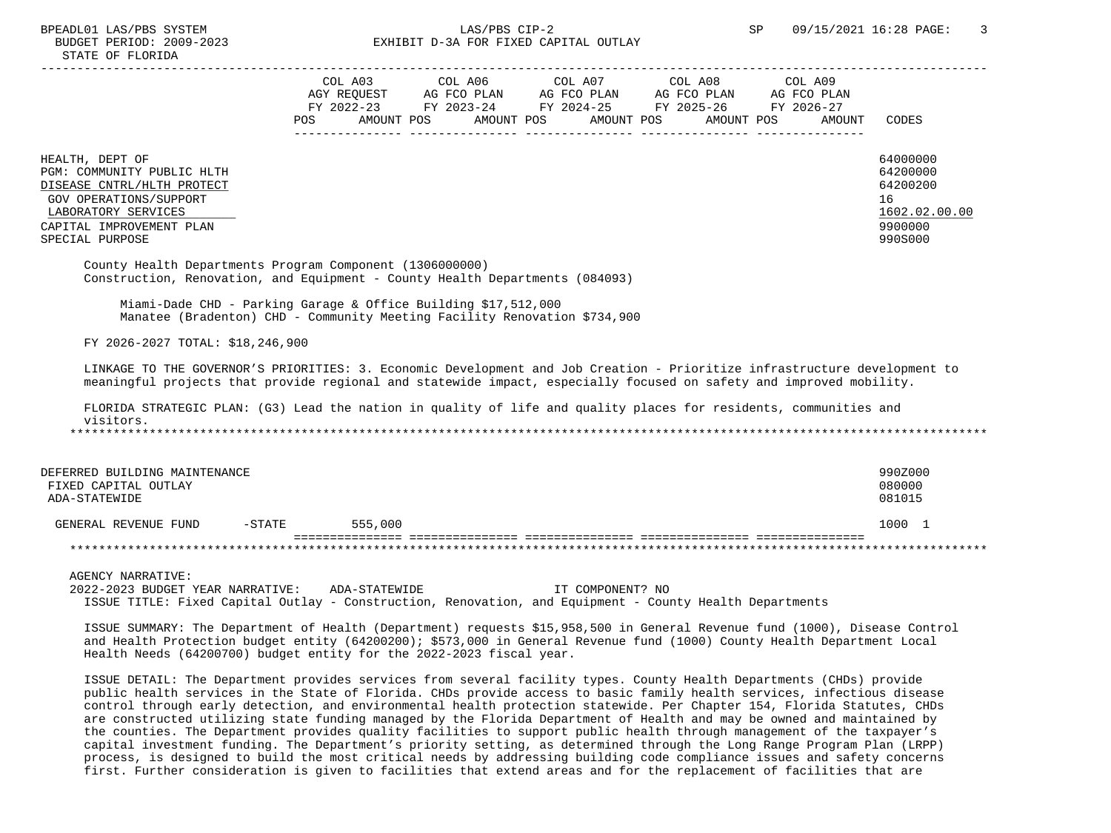### BPEADL01 LAS/PBS SYSTEM SALLAS/PBS CIP-2 SP 09/15/2021 16:28 PAGE: 3 BUDGET PERIOD: 2009-2023 EXHIBIT D-3A FOR FIXED CAPITAL OUTLAY

|                    | COL A03<br>AGY REQUEST |            | COL A06<br>AG FCO PLAN |            | COL A07<br>AG FCO PLAN   | COL A08<br>AG FCO PLAN   | COL A09<br>AG FCO PLAN |          |
|--------------------|------------------------|------------|------------------------|------------|--------------------------|--------------------------|------------------------|----------|
|                    | FY 2022-23<br>POS.     | AMOUNT POS | FY 2023-24             | AMOUNT POS | FY 2024-25<br>AMOUNT POS | FY 2025-26<br>AMOUNT POS | FY 2026-27<br>AMOUNT   | CODES    |
| DEPT OF<br>HEALTH, |                        |            |                        |            |                          |                          |                        | 64000000 |

PGM: COMMUNITY PUBLIC HLTH 64200000<br>DISEASE CNTRL/HLTH PROTECT 64200200 DISEASE CNTRL/HLTH PROTECT GOV OPERATIONS/SUPPORT 16 LABORATORY SERVICES 1602.02.00.00 \_\_\_\_\_\_\_\_\_\_\_\_\_\_\_\_\_\_\_\_\_\_\_\_\_\_ \_\_\_\_\_\_\_\_\_\_\_\_\_ CAPITAL IMPROVEMENT PLAN

SPECIAL PURPOSE 990S000

 County Health Departments Program Component (1306000000) Construction, Renovation, and Equipment - County Health Departments (084093)

 Miami-Dade CHD - Parking Garage & Office Building \$17,512,000 Manatee (Bradenton) CHD - Community Meeting Facility Renovation \$734,900

FY 2026-2027 TOTAL: \$18,246,900

 LINKAGE TO THE GOVERNOR'S PRIORITIES: 3. Economic Development and Job Creation - Prioritize infrastructure development to meaningful projects that provide regional and statewide impact, especially focused on safety and improved mobility.

 FLORIDA STRATEGIC PLAN: (G3) Lead the nation in quality of life and quality places for residents, communities and visitors. \*\*\*\*\*\*\*\*\*\*\*\*\*\*\*\*\*\*\*\*\*\*\*\*\*\*\*\*\*\*\*\*\*\*\*\*\*\*\*\*\*\*\*\*\*\*\*\*\*\*\*\*\*\*\*\*\*\*\*\*\*\*\*\*\*\*\*\*\*\*\*\*\*\*\*\*\*\*\*\*\*\*\*\*\*\*\*\*\*\*\*\*\*\*\*\*\*\*\*\*\*\*\*\*\*\*\*\*\*\*\*\*\*\*\*\*\*\*\*\*\*\*\*\*\*\*\*

| DEFERRED BUILDING MAINTENANCE |          |         | 990Z000 |
|-------------------------------|----------|---------|---------|
| FIXED CAPITAL OUTLAY          |          |         | 080000  |
| ADA-STATEWIDE                 |          |         | 081015  |
| GENERAL REVENUE FUND          | $-STATE$ | 555,000 | 1000    |
|                               |          |         |         |

AGENCY NARRATIVE:

 2022-2023 BUDGET YEAR NARRATIVE: ADA-STATEWIDE IT COMPONENT? NO ISSUE TITLE: Fixed Capital Outlay - Construction, Renovation, and Equipment - County Health Departments

 ISSUE SUMMARY: The Department of Health (Department) requests \$15,958,500 in General Revenue fund (1000), Disease Control and Health Protection budget entity (64200200); \$573,000 in General Revenue fund (1000) County Health Department Local Health Needs (64200700) budget entity for the 2022-2023 fiscal year.

 ISSUE DETAIL: The Department provides services from several facility types. County Health Departments (CHDs) provide public health services in the State of Florida. CHDs provide access to basic family health services, infectious disease control through early detection, and environmental health protection statewide. Per Chapter 154, Florida Statutes, CHDs are constructed utilizing state funding managed by the Florida Department of Health and may be owned and maintained by the counties. The Department provides quality facilities to support public health through management of the taxpayer's capital investment funding. The Department's priority setting, as determined through the Long Range Program Plan (LRPP) process, is designed to build the most critical needs by addressing building code compliance issues and safety concerns first. Further consideration is given to facilities that extend areas and for the replacement of facilities that are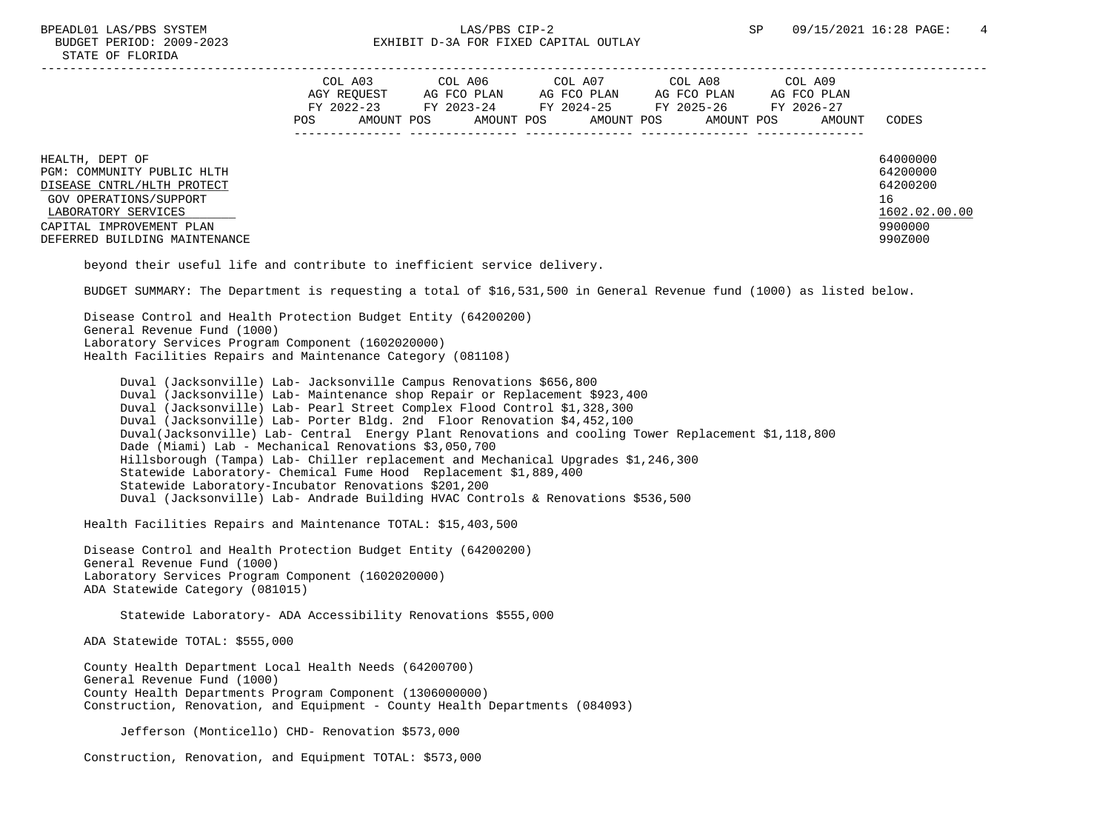## BPEADL01 LAS/PBS SYSTEM  $LAS/PBS$  CIP-2 SP 09/15/2021 16:28 PAGE: 4 BUDGET PERIOD: 2009-2023 EXHIBIT D-3A FOR FIXED CAPITAL OUTLAY

|                            |     | COL A03     | COL A06     | COL A07     | COL A08     | COL A09     |          |
|----------------------------|-----|-------------|-------------|-------------|-------------|-------------|----------|
|                            |     | AGY REOUEST | AG FCO PLAN | AG FCO PLAN | AG FCO PLAN | AG FCO PLAN |          |
|                            |     | FY 2022-23  | FY 2023-24  | FY 2024-25  | FY 2025-26  | FY 2026-27  |          |
|                            | POS | AMOUNT POS  | AMOUNT POS  | AMOUNT POS  | AMOUNT POS  | AMOUNT      | CODES    |
|                            |     |             |             |             |             |             |          |
| HEALTH, DEPT OF            |     |             |             |             |             |             | 64000000 |
| PGM: COMMUNITY PUBLIC HLTH |     |             |             |             |             |             | 64200000 |
| DISEASE CNTRL/HLTH PROTECT |     |             |             |             |             |             | 64200200 |

 GOV OPERATIONS/SUPPORT 16  $\frac{\text{LABORATORY} \text{ SERVICES}}{1602.02}$ CAPITAL IMPROVEMENT PLAN DEFERRED BUILDING MAINTENANCE 990Z000

beyond their useful life and contribute to inefficient service delivery.

BUDGET SUMMARY: The Department is requesting a total of \$16,531,500 in General Revenue fund (1000) as listed below.

 Disease Control and Health Protection Budget Entity (64200200) General Revenue Fund (1000) Laboratory Services Program Component (1602020000) Health Facilities Repairs and Maintenance Category (081108)

 Duval (Jacksonville) Lab- Jacksonville Campus Renovations \$656,800 Duval (Jacksonville) Lab- Maintenance shop Repair or Replacement \$923,400 Duval (Jacksonville) Lab- Pearl Street Complex Flood Control \$1,328,300 Duval (Jacksonville) Lab- Porter Bldg. 2nd Floor Renovation \$4,452,100 Duval(Jacksonville) Lab- Central Energy Plant Renovations and cooling Tower Replacement \$1,118,800 Dade (Miami) Lab - Mechanical Renovations \$3,050,700 Hillsborough (Tampa) Lab- Chiller replacement and Mechanical Upgrades \$1,246,300 Statewide Laboratory- Chemical Fume Hood Replacement \$1,889,400 Statewide Laboratory-Incubator Renovations \$201,200 Duval (Jacksonville) Lab- Andrade Building HVAC Controls & Renovations \$536,500

Health Facilities Repairs and Maintenance TOTAL: \$15,403,500

 Disease Control and Health Protection Budget Entity (64200200) General Revenue Fund (1000) Laboratory Services Program Component (1602020000) ADA Statewide Category (081015)

Statewide Laboratory- ADA Accessibility Renovations \$555,000

ADA Statewide TOTAL: \$555,000

 County Health Department Local Health Needs (64200700) General Revenue Fund (1000) County Health Departments Program Component (1306000000) Construction, Renovation, and Equipment - County Health Departments (084093)

Jefferson (Monticello) CHD- Renovation \$573,000

Construction, Renovation, and Equipment TOTAL: \$573,000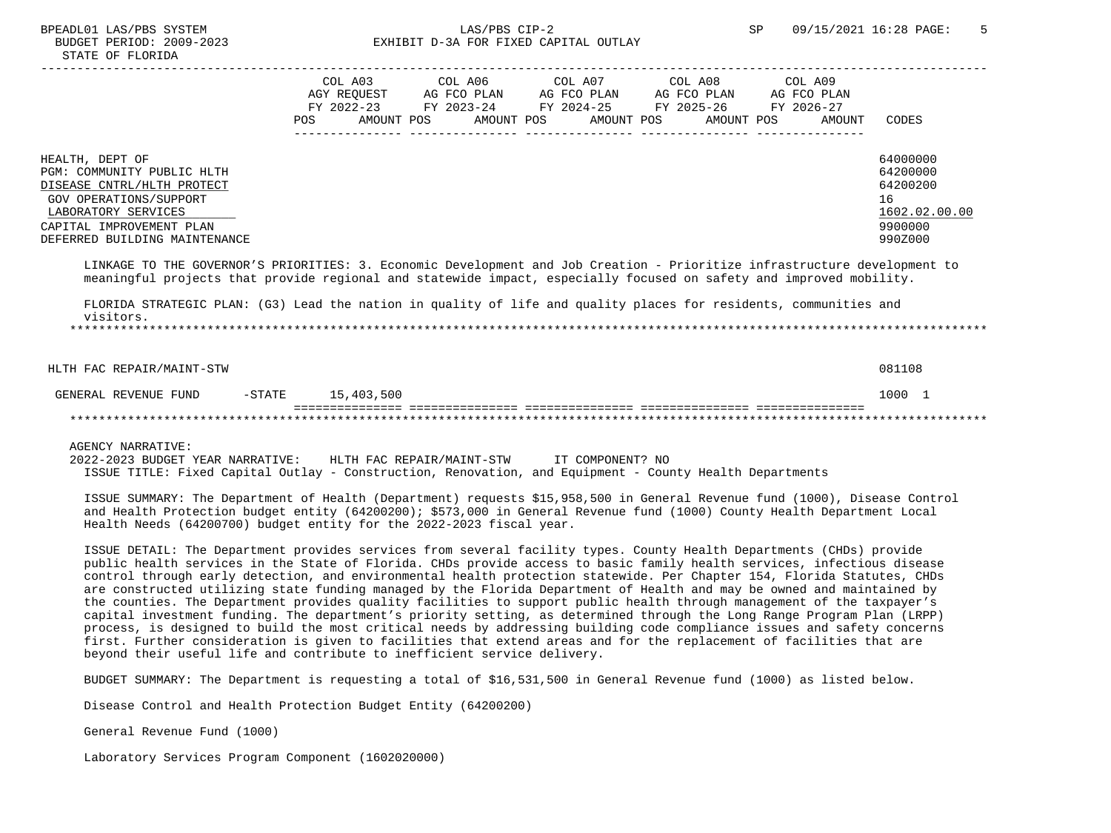# BUDGET PERIOD: 2009-2023 EXHIBIT D-3A FOR FIXED CAPITAL OUTLAY

|                                                                                                                                                                                                                                                  | POS. | COL A03<br>AGY REOUEST<br>FY 2022-23<br>AMOUNT POS | COL A06<br>AG FCO PLAN<br>FY 2023-24<br>AMOUNT POS | COL A07<br>AG FCO PLAN | FY 2024-25<br>AMOUNT POS | COL A08<br>AG FCO PLAN<br>FY 2025-26<br>AMOUNT POS | COL A09<br>AG FCO PLAN<br>FY 2026-27<br>AMOUNT | <b>CODES</b>                                                                  |
|--------------------------------------------------------------------------------------------------------------------------------------------------------------------------------------------------------------------------------------------------|------|----------------------------------------------------|----------------------------------------------------|------------------------|--------------------------|----------------------------------------------------|------------------------------------------------|-------------------------------------------------------------------------------|
| HEALTH, DEPT OF<br>PGM: COMMUNITY PUBLIC HLTH<br>DISEASE CNTRL/HLTH PROTECT<br>GOV OPERATIONS/SUPPORT<br>LABORATORY SERVICES<br>CAPITAL IMPROVEMENT PLAN<br>DEFERRED BUILDING MAINTENANCE                                                        |      |                                                    |                                                    |                        |                          |                                                    |                                                | 64000000<br>64200000<br>64200200<br>16<br>1602.02.00.00<br>9900000<br>990Z000 |
| LINKAGE TO THE GOVERNOR'S PRIORITIES: 3. Economic Development and Job Creation - Prioritize infrastructure development to<br>meaningful projects that provide regional and statewide impact, especially focused on safety and improved mobility. |      |                                                    |                                                    |                        |                          |                                                    |                                                |                                                                               |

 FLORIDA STRATEGIC PLAN: (G3) Lead the nation in quality of life and quality places for residents, communities and visitors.

\*\*\*\*\*\*\*\*\*\*\*\*\*\*\*\*\*\*\*\*\*\*\*\*\*\*\*\*\*\*\*\*\*\*\*\*\*\*\*\*\*\*\*\*\*\*\*\*\*\*\*\*\*\*\*\*\*\*\*\*\*\*\*\*\*\*\*\*\*\*\*\*\*\*\*\*\*\*\*\*\*\*\*\*\*\*\*\*\*\*\*\*\*\*\*\*\*\*\*\*\*\*\*\*\*\*\*\*\*\*\*\*\*\*\*\*\*\*\*\*\*\*\*\*\*\*\*

 HLTH FAC REPAIR/MAINT-STW 081108 GENERAL REVENUE FUND  $-$  -STATE 15,403,500 1000 1000 1000 1000 1000 1000 1 =============== =============== =============== =============== =============== \*\*\*\*\*\*\*\*\*\*\*\*\*\*\*\*\*\*\*\*\*\*\*\*\*\*\*\*\*\*\*\*\*\*\*\*\*\*\*\*\*\*\*\*\*\*\*\*\*\*\*\*\*\*\*\*\*\*\*\*\*\*\*\*\*\*\*\*\*\*\*\*\*\*\*\*\*\*\*\*\*\*\*\*\*\*\*\*\*\*\*\*\*\*\*\*\*\*\*\*\*\*\*\*\*\*\*\*\*\*\*\*\*\*\*\*\*\*\*\*\*\*\*\*\*\*\*

AGENCY NARRATIVE:

 2022-2023 BUDGET YEAR NARRATIVE: HLTH FAC REPAIR/MAINT-STW IT COMPONENT? NO ISSUE TITLE: Fixed Capital Outlay - Construction, Renovation, and Equipment - County Health Departments

 ISSUE SUMMARY: The Department of Health (Department) requests \$15,958,500 in General Revenue fund (1000), Disease Control and Health Protection budget entity (64200200); \$573,000 in General Revenue fund (1000) County Health Department Local Health Needs (64200700) budget entity for the 2022-2023 fiscal year.

 ISSUE DETAIL: The Department provides services from several facility types. County Health Departments (CHDs) provide public health services in the State of Florida. CHDs provide access to basic family health services, infectious disease control through early detection, and environmental health protection statewide. Per Chapter 154, Florida Statutes, CHDs are constructed utilizing state funding managed by the Florida Department of Health and may be owned and maintained by the counties. The Department provides quality facilities to support public health through management of the taxpayer's capital investment funding. The department's priority setting, as determined through the Long Range Program Plan (LRPP) process, is designed to build the most critical needs by addressing building code compliance issues and safety concerns first. Further consideration is given to facilities that extend areas and for the replacement of facilities that are beyond their useful life and contribute to inefficient service delivery.

BUDGET SUMMARY: The Department is requesting a total of \$16,531,500 in General Revenue fund (1000) as listed below.

Disease Control and Health Protection Budget Entity (64200200)

General Revenue Fund (1000)

Laboratory Services Program Component (1602020000)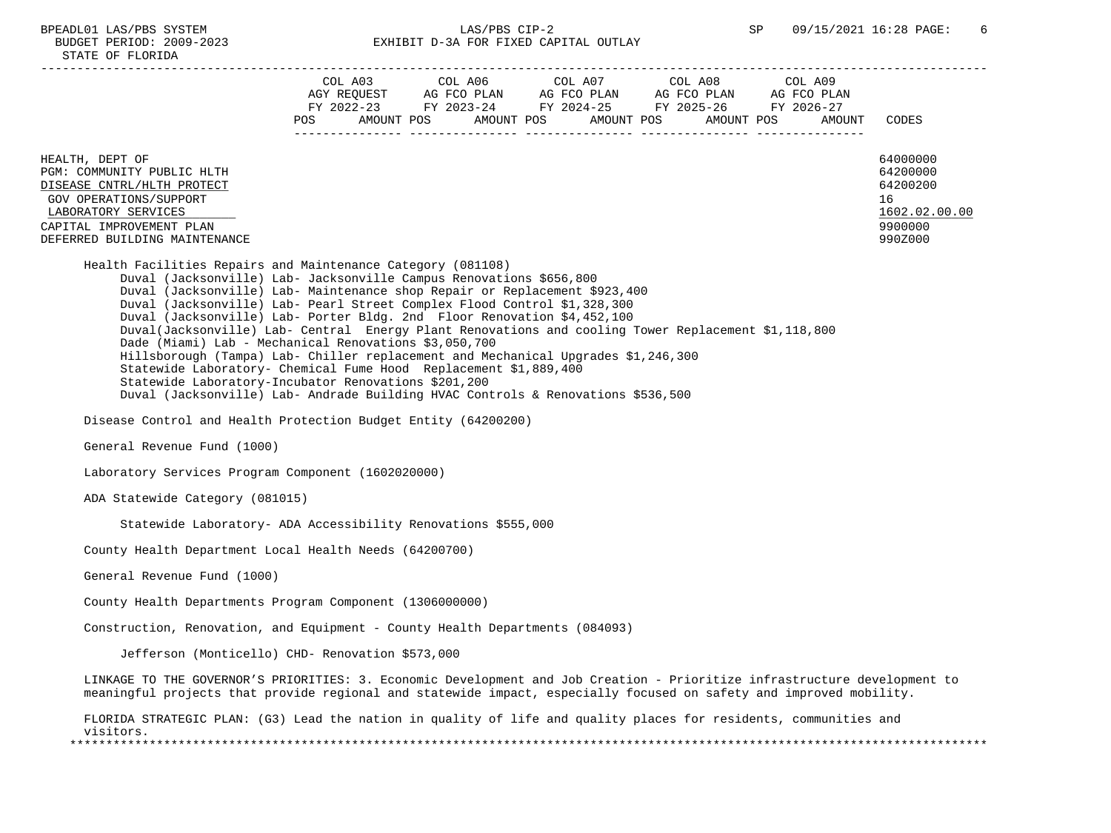BUDGET PERIOD: 2009-2023 STATE OF F

| BUDGEI PERIOD: 4009-4043<br>STATE OF FLORIDA                                                                                                                                                                                                                                                                                                                            |                                              | LANIDII DTJA PUR PIALD CAPIIAL UUILAI |                                                                                                           |                                      |                                                |                                                                               |
|-------------------------------------------------------------------------------------------------------------------------------------------------------------------------------------------------------------------------------------------------------------------------------------------------------------------------------------------------------------------------|----------------------------------------------|---------------------------------------|-----------------------------------------------------------------------------------------------------------|--------------------------------------|------------------------------------------------|-------------------------------------------------------------------------------|
|                                                                                                                                                                                                                                                                                                                                                                         | COL A03<br>AGY REOUEST<br>AMOUNT POS<br>POS. | AG FCO PLAN                           | COL A06 COL A07<br>AG FCO PLAN<br>FY 2022-23 FY 2023-24 FY 2024-25 FY 2025-26<br>AMOUNT POS<br>AMOUNT POS | COL A08<br>AG FCO PLAN<br>AMOUNT POS | COL A09<br>AG FCO PLAN<br>FY 2026-27<br>AMOUNT | CODES                                                                         |
| HEALTH, DEPT OF<br>PGM: COMMUNITY PUBLIC HLTH<br>DISEASE CNTRL/HLTH PROTECT<br>GOV OPERATIONS/SUPPORT<br>LABORATORY SERVICES<br>CAPITAL IMPROVEMENT PLAN<br>DEFERRED BUILDING MAINTENANCE                                                                                                                                                                               |                                              |                                       |                                                                                                           |                                      |                                                | 64000000<br>64200000<br>64200200<br>16<br>1602.02.00.00<br>9900000<br>990Z000 |
| Health Facilities Repairs and Maintenance Category (081108)<br>Duval (Jacksonville) Lab- Jacksonville Campus Renovations \$656,800<br>Duval (Jacksonville) Lab- Maintenance shop Repair or Replacement \$923,400<br>Duval (Jacksonville) Lab- Pearl Street Complex Flood Control \$1,328,300<br>Duval (Jacksonville) Lab- Porter Bldg. 2nd Floor Renovation \$4,452,100 |                                              |                                       |                                                                                                           |                                      |                                                |                                                                               |

- Duval(Jacksonville) Lab- Central Energy Plant Renovations and cooling Tower Replacement \$1,118,800
- Dade (Miami) Lab Mechanical Renovations \$3,050,700
	- Hillsborough (Tampa) Lab- Chiller replacement and Mechanical Upgrades \$1,246,300
- Statewide Laboratory- Chemical Fume Hood Replacement \$1,889,400
- Statewide Laboratory-Incubator Renovations \$201,200
- Duval (Jacksonville) Lab- Andrade Building HVAC Controls & Renovations \$536,500
- Disease Control and Health Protection Budget Entity (64200200)
- General Revenue Fund (1000)
- Laboratory Services Program Component (1602020000)
- ADA Statewide Category (081015)
	- Statewide Laboratory- ADA Accessibility Renovations \$555,000
- County Health Department Local Health Needs (64200700)
- General Revenue Fund (1000)
- County Health Departments Program Component (1306000000)
- Construction, Renovation, and Equipment County Health Departments (084093)
	- Jefferson (Monticello) CHD- Renovation \$573,000
- LINKAGE TO THE GOVERNOR'S PRIORITIES: 3. Economic Development and Job Creation Prioritize infrastructure development to meaningful projects that provide regional and statewide impact, especially focused on safety and improved mobility.
- FLORIDA STRATEGIC PLAN: (G3) Lead the nation in quality of life and quality places for residents, communities and visitors. \*\*\*\*\*\*\*\*\*\*\*\*\*\*\*\*\*\*\*\*\*\*\*\*\*\*\*\*\*\*\*\*\*\*\*\*\*\*\*\*\*\*\*\*\*\*\*\*\*\*\*\*\*\*\*\*\*\*\*\*\*\*\*\*\*\*\*\*\*\*\*\*\*\*\*\*\*\*\*\*\*\*\*\*\*\*\*\*\*\*\*\*\*\*\*\*\*\*\*\*\*\*\*\*\*\*\*\*\*\*\*\*\*\*\*\*\*\*\*\*\*\*\*\*\*\*\*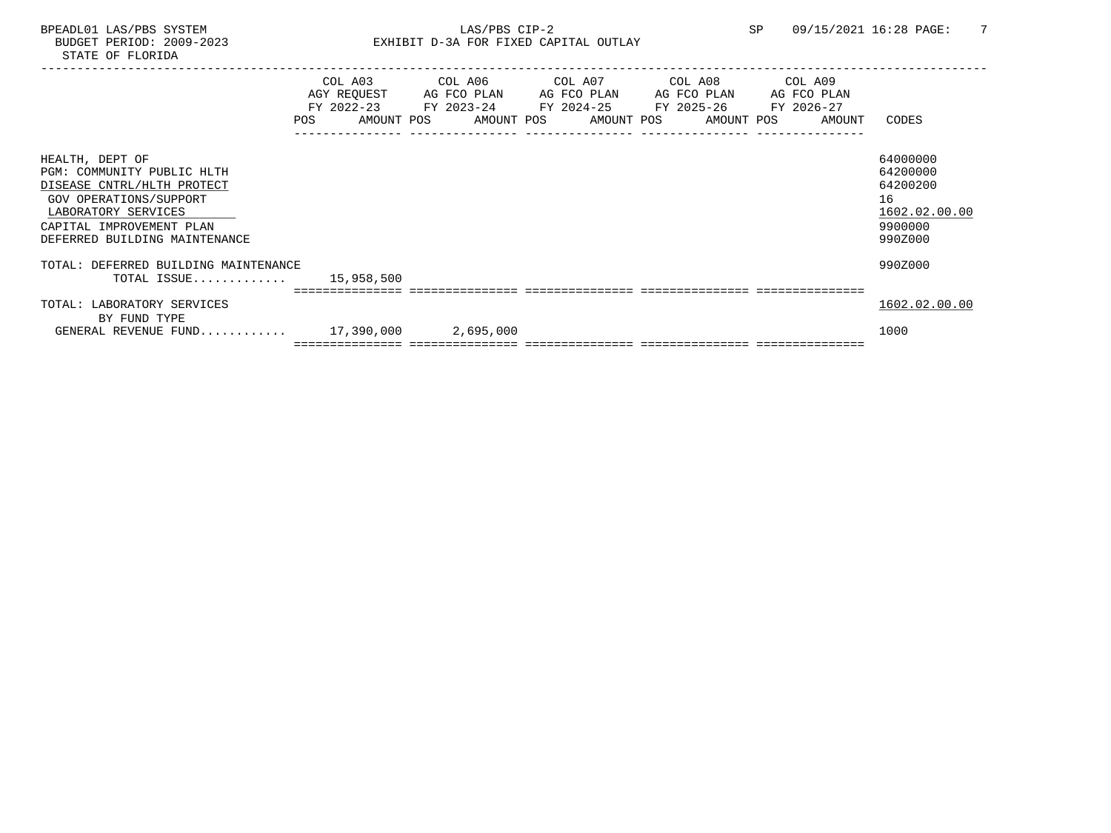|                                                                                                                                                                                           | COL A03<br>AGY REQUEST<br>FY 2022-23<br>POS | COL A06 COL A07<br>AG FCO PLAN<br>FY 2023-24 FY 2024-25 FY 2025-26<br>AMOUNT POS | AG FCO PLAN<br>AMOUNT POS AMOUNT POS AMOUNT POS | COL A08<br>AG FCO PLAN | COL A09<br>AG FCO PLAN<br>FY 2026-27<br>AMOUNT | CODES                                                                         |
|-------------------------------------------------------------------------------------------------------------------------------------------------------------------------------------------|---------------------------------------------|----------------------------------------------------------------------------------|-------------------------------------------------|------------------------|------------------------------------------------|-------------------------------------------------------------------------------|
| HEALTH, DEPT OF<br>PGM: COMMUNITY PUBLIC HLTH<br>DISEASE CNTRL/HLTH PROTECT<br>GOV OPERATIONS/SUPPORT<br>LABORATORY SERVICES<br>CAPITAL IMPROVEMENT PLAN<br>DEFERRED BUILDING MAINTENANCE |                                             |                                                                                  |                                                 |                        |                                                | 64000000<br>64200000<br>64200200<br>16<br>1602.02.00.00<br>9900000<br>990Z000 |
| TOTAL: DEFERRED BUILDING MAINTENANCE<br>TOTAL ISSUE $15,958,500$                                                                                                                          |                                             |                                                                                  |                                                 |                        |                                                | 990Z000                                                                       |
| TOTAL: LABORATORY SERVICES<br>BY FUND TYPE                                                                                                                                                |                                             |                                                                                  |                                                 |                        |                                                | 1602.02.00.00                                                                 |
| GENERAL REVENUE FUND $17,390,000$                                                                                                                                                         |                                             | 2,695,000                                                                        |                                                 |                        |                                                | 1000                                                                          |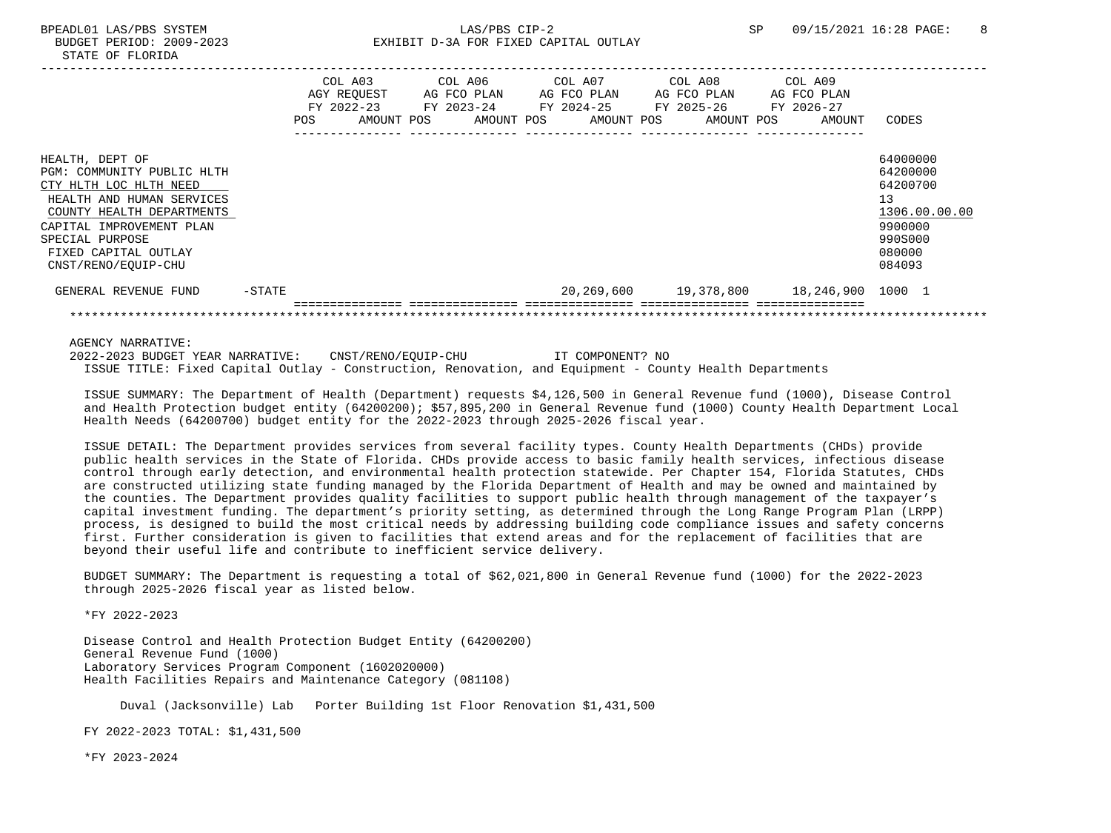-----------------------------------------------------------------------------------------------------------------------------------

|                                                                                                                                                                                                                                 |           | COL A03<br>AGY REOUEST<br>$FY$ 2022-23<br>POS.<br>AMOUNT POS | COL A06<br>AG FCO PLAN<br>FY 2023-24<br>AMOUNT POS | COL A07<br>AG FCO PLAN<br>FY 2024-25<br>AMOUNT POS | COL A08<br>AG FCO PLAN<br>FY 2025-26<br>AMOUNT POS | COL A09<br>AG FCO PLAN<br>FY 2026-27<br>AMOUNT | CODES                                                                                             |
|---------------------------------------------------------------------------------------------------------------------------------------------------------------------------------------------------------------------------------|-----------|--------------------------------------------------------------|----------------------------------------------------|----------------------------------------------------|----------------------------------------------------|------------------------------------------------|---------------------------------------------------------------------------------------------------|
| HEALTH, DEPT OF<br>PGM: COMMUNITY PUBLIC HLTH<br>CTY HLTH LOC HLTH NEED<br>HEALTH AND HUMAN SERVICES<br>COUNTY HEALTH DEPARTMENTS<br>CAPITAL IMPROVEMENT PLAN<br>SPECIAL PURPOSE<br>FIXED CAPITAL OUTLAY<br>CNST/RENO/EOUIP-CHU |           |                                                              |                                                    |                                                    |                                                    |                                                | 64000000<br>64200000<br>64200700<br>13<br>1306.00.00.00<br>9900000<br>990S000<br>080000<br>084093 |
| GENERAL REVENUE FUND                                                                                                                                                                                                            | $-$ STATE |                                                              |                                                    |                                                    |                                                    | 20,269,600  19,378,800  18,246,900  1000  1    |                                                                                                   |
|                                                                                                                                                                                                                                 |           |                                                              |                                                    |                                                    |                                                    |                                                |                                                                                                   |

AGENCY NARRATIVE:

 2022-2023 BUDGET YEAR NARRATIVE: CNST/RENO/EQUIP-CHU IT COMPONENT? NO ISSUE TITLE: Fixed Capital Outlay - Construction, Renovation, and Equipment - County Health Departments

 ISSUE SUMMARY: The Department of Health (Department) requests \$4,126,500 in General Revenue fund (1000), Disease Control and Health Protection budget entity (64200200); \$57,895,200 in General Revenue fund (1000) County Health Department Local Health Needs (64200700) budget entity for the 2022-2023 through 2025-2026 fiscal year.

 ISSUE DETAIL: The Department provides services from several facility types. County Health Departments (CHDs) provide public health services in the State of Florida. CHDs provide access to basic family health services, infectious disease control through early detection, and environmental health protection statewide. Per Chapter 154, Florida Statutes, CHDs are constructed utilizing state funding managed by the Florida Department of Health and may be owned and maintained by the counties. The Department provides quality facilities to support public health through management of the taxpayer's capital investment funding. The department's priority setting, as determined through the Long Range Program Plan (LRPP) process, is designed to build the most critical needs by addressing building code compliance issues and safety concerns first. Further consideration is given to facilities that extend areas and for the replacement of facilities that are beyond their useful life and contribute to inefficient service delivery.

 BUDGET SUMMARY: The Department is requesting a total of \$62,021,800 in General Revenue fund (1000) for the 2022-2023 through 2025-2026 fiscal year as listed below.

\*FY 2022-2023

 Disease Control and Health Protection Budget Entity (64200200) General Revenue Fund (1000) Laboratory Services Program Component (1602020000) Health Facilities Repairs and Maintenance Category (081108)

Duval (Jacksonville) Lab Porter Building 1st Floor Renovation \$1,431,500

FY 2022-2023 TOTAL: \$1,431,500

\*FY 2023-2024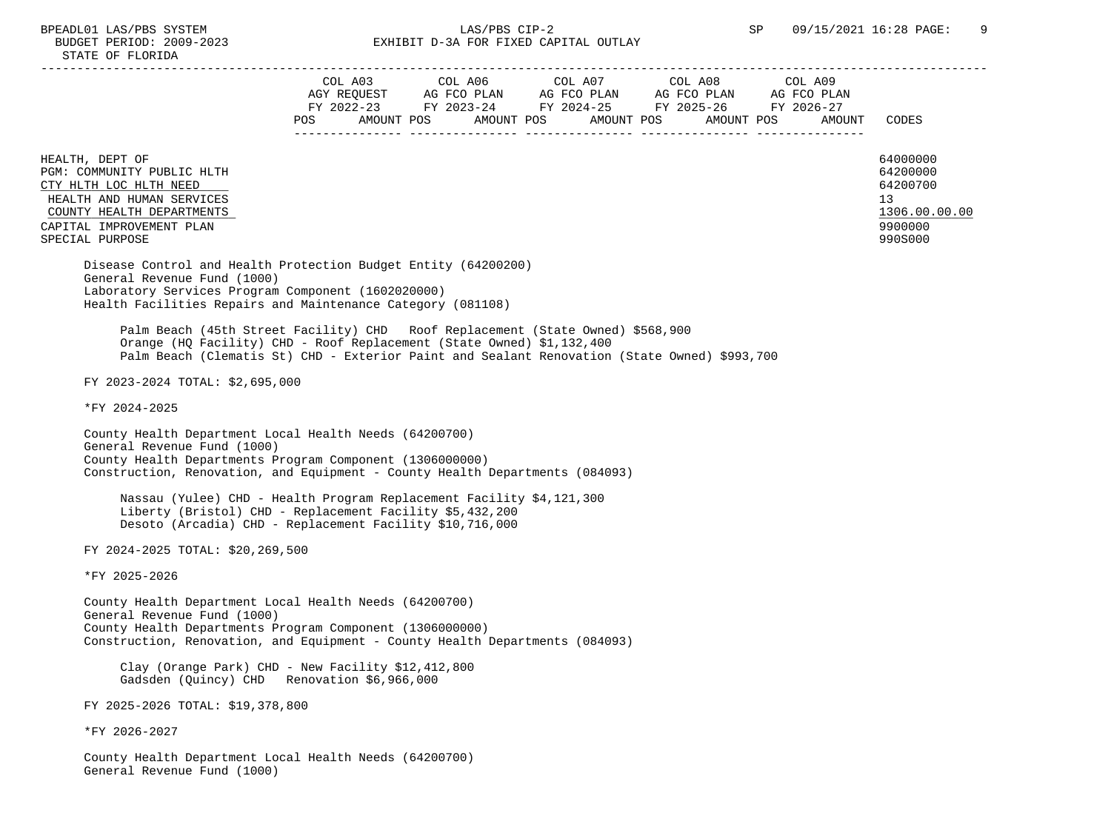| STATE OF FLORIDA                                                                                                                                                                                                                                                                                                                                                                                                                                                              |     |                                                                                                                                                                                         |        |                                                                               |
|-------------------------------------------------------------------------------------------------------------------------------------------------------------------------------------------------------------------------------------------------------------------------------------------------------------------------------------------------------------------------------------------------------------------------------------------------------------------------------|-----|-----------------------------------------------------------------------------------------------------------------------------------------------------------------------------------------|--------|-------------------------------------------------------------------------------|
|                                                                                                                                                                                                                                                                                                                                                                                                                                                                               | POS | COL A03 COL A06 COL A07 COL A08 COL A09<br>AGY REQUEST AG FCO PLAN AG FCO PLAN AG FCO PLAN AG FCO PLAN AG FCO PLAN FY 2022-23 FY 2026-27<br>AMOUNT POS AMOUNT POS AMOUNT POS AMOUNT POS | AMOUNT | CODES                                                                         |
| HEALTH, DEPT OF<br>PGM: COMMUNITY PUBLIC HLTH<br>CTY HLTH LOC HLTH NEED<br>HEALTH AND HUMAN SERVICES<br>COUNTY HEALTH DEPARTMENTS<br>CAPITAL IMPROVEMENT PLAN<br>SPECIAL PURPOSE                                                                                                                                                                                                                                                                                              |     |                                                                                                                                                                                         |        | 64000000<br>64200000<br>64200700<br>13<br>1306.00.00.00<br>9900000<br>990S000 |
| Disease Control and Health Protection Budget Entity (64200200)<br>General Revenue Fund (1000)<br>Laboratory Services Program Component (1602020000)<br>Health Facilities Repairs and Maintenance Category (081108)<br>Palm Beach (45th Street Facility) CHD Roof Replacement (State Owned) \$568,900<br>Orange (HQ Facility) CHD - Roof Replacement (State Owned) \$1,132,400<br>Palm Beach (Clematis St) CHD - Exterior Paint and Sealant Renovation (State Owned) \$993,700 |     |                                                                                                                                                                                         |        |                                                                               |
| FY 2023-2024 TOTAL: \$2,695,000                                                                                                                                                                                                                                                                                                                                                                                                                                               |     |                                                                                                                                                                                         |        |                                                                               |
| *FY 2024-2025<br>County Health Department Local Health Needs (64200700)<br>General Revenue Fund (1000)<br>County Health Departments Program Component (1306000000)<br>Construction, Renovation, and Equipment - County Health Departments (084093)<br>Nassau (Yulee) CHD - Health Program Replacement Facility \$4,121,300<br>Liberty (Bristol) CHD - Replacement Facility \$5,432,200                                                                                        |     |                                                                                                                                                                                         |        |                                                                               |
| Desoto (Arcadia) CHD - Replacement Facility \$10,716,000<br>FY 2024-2025 TOTAL: \$20,269,500                                                                                                                                                                                                                                                                                                                                                                                  |     |                                                                                                                                                                                         |        |                                                                               |
| *FY 2025-2026                                                                                                                                                                                                                                                                                                                                                                                                                                                                 |     |                                                                                                                                                                                         |        |                                                                               |
| County Health Department Local Health Needs (64200700)<br>General Revenue Fund (1000)<br>County Health Departments Program Component (1306000000)<br>Construction, Renovation, and Equipment - County Health Departments (084093)                                                                                                                                                                                                                                             |     |                                                                                                                                                                                         |        |                                                                               |

 Clay (Orange Park) CHD - New Facility \$12,412,800 Gadsden (Quincy) CHD Renovation \$6,966,000

FY 2025-2026 TOTAL: \$19,378,800

\*FY 2026-2027

 County Health Department Local Health Needs (64200700) General Revenue Fund (1000)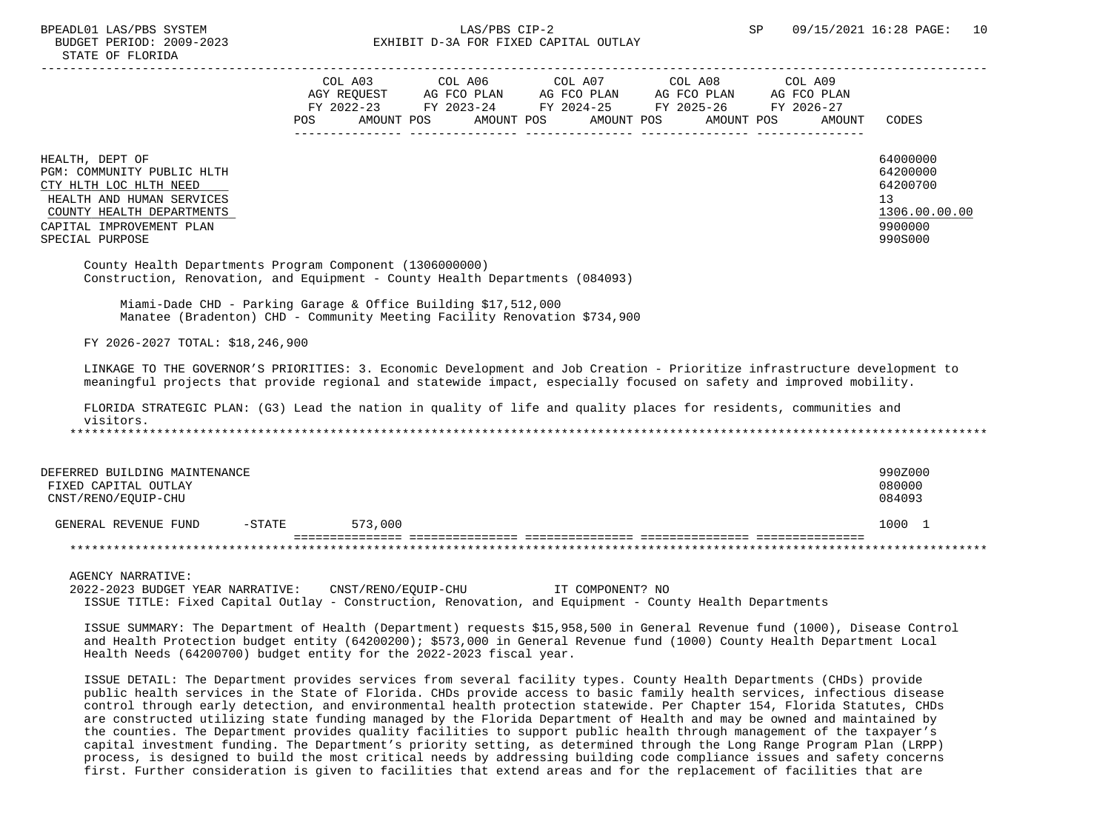## BPEADL01 LAS/PBS SYSTEM SALLAS/PBS CIP-2 SP 09/15/2021 16:28 PAGE: 10 BUDGET PERIOD: 2009-2023 EXHIBIT D-3A FOR FIXED CAPITAL OUTLAY

|                                                                                                                                                                                                                                                                                                                               |         | FY 2022-23 FY 2023-24 FY 2024-25 FY 2025-26 FY 2026-27 |  |        |                      |
|-------------------------------------------------------------------------------------------------------------------------------------------------------------------------------------------------------------------------------------------------------------------------------------------------------------------------------|---------|--------------------------------------------------------|--|--------|----------------------|
|                                                                                                                                                                                                                                                                                                                               | POS     | AMOUNT POS AMOUNT POS AMOUNT POS AMOUNT POS            |  | AMOUNT | CODES                |
| HEALTH, DEPT OF                                                                                                                                                                                                                                                                                                               |         |                                                        |  |        | 64000000             |
| PGM: COMMUNITY PUBLIC HLTH<br>CTY HLTH LOC HLTH NEED                                                                                                                                                                                                                                                                          |         |                                                        |  |        | 64200000<br>64200700 |
| HEALTH AND HUMAN SERVICES<br>COUNTY HEALTH DEPARTMENTS                                                                                                                                                                                                                                                                        |         |                                                        |  |        | 13<br>1306.00.00.00  |
| CAPITAL IMPROVEMENT PLAN<br>SPECIAL PURPOSE                                                                                                                                                                                                                                                                                   |         |                                                        |  |        | 9900000<br>990S000   |
| County Health Departments Program Component (1306000000)<br>Construction, Renovation, and Equipment - County Health Departments (084093)                                                                                                                                                                                      |         |                                                        |  |        |                      |
| Miami-Dade CHD - Parking Garage & Office Building \$17,512,000<br>Manatee (Bradenton) CHD - Community Meeting Facility Renovation \$734,900                                                                                                                                                                                   |         |                                                        |  |        |                      |
| FY 2026-2027 TOTAL: \$18,246,900                                                                                                                                                                                                                                                                                              |         |                                                        |  |        |                      |
| LINKAGE TO THE GOVERNOR'S PRIORITIES: 3. Economic Development and Job Creation - Prioritize infrastructure development to<br>meaningful projects that provide regional and statewide impact, especially focused on safety and improved mobility.                                                                              |         |                                                        |  |        |                      |
| FLORIDA STRATEGIC PLAN: (G3) Lead the nation in quality of life and quality places for residents, communities and<br>visitors.                                                                                                                                                                                                |         |                                                        |  |        |                      |
|                                                                                                                                                                                                                                                                                                                               |         |                                                        |  |        |                      |
| DEFERRED BUILDING MAINTENANCE                                                                                                                                                                                                                                                                                                 |         |                                                        |  |        | 990Z000              |
| FIXED CAPITAL OUTLAY<br>CNST/RENO/EQUIP-CHU                                                                                                                                                                                                                                                                                   |         |                                                        |  |        | 080000<br>084093     |
| GENERAL REVENUE FUND -STATE                                                                                                                                                                                                                                                                                                   | 573,000 |                                                        |  |        | 1000 1               |
|                                                                                                                                                                                                                                                                                                                               |         |                                                        |  |        |                      |
| <b>AGENCY NARRATIVE:</b><br>2022-2023 BUDGET YEAR NARRATIVE: CNST/RENO/EOUIP-CHU TT COMPONENT? NO<br>ISSUE TITLE: Fixed Capital Outlay - Construction, Renovation, and Equipment - County Health Departments                                                                                                                  |         |                                                        |  |        |                      |
| ISSUE SUMMARY: The Department of Health (Department) requests \$15,958,500 in General Revenue fund (1000), Disease Control<br>and Health Protection budget entity (64200200); \$573,000 in General Revenue fund (1000) County Health Department Local<br>Health Needs (64200700) budget entity for the 2022-2023 fiscal year. |         |                                                        |  |        |                      |

 ISSUE DETAIL: The Department provides services from several facility types. County Health Departments (CHDs) provide public health services in the State of Florida. CHDs provide access to basic family health services, infectious disease control through early detection, and environmental health protection statewide. Per Chapter 154, Florida Statutes, CHDs are constructed utilizing state funding managed by the Florida Department of Health and may be owned and maintained by the counties. The Department provides quality facilities to support public health through management of the taxpayer's capital investment funding. The Department's priority setting, as determined through the Long Range Program Plan (LRPP) process, is designed to build the most critical needs by addressing building code compliance issues and safety concerns first. Further consideration is given to facilities that extend areas and for the replacement of facilities that are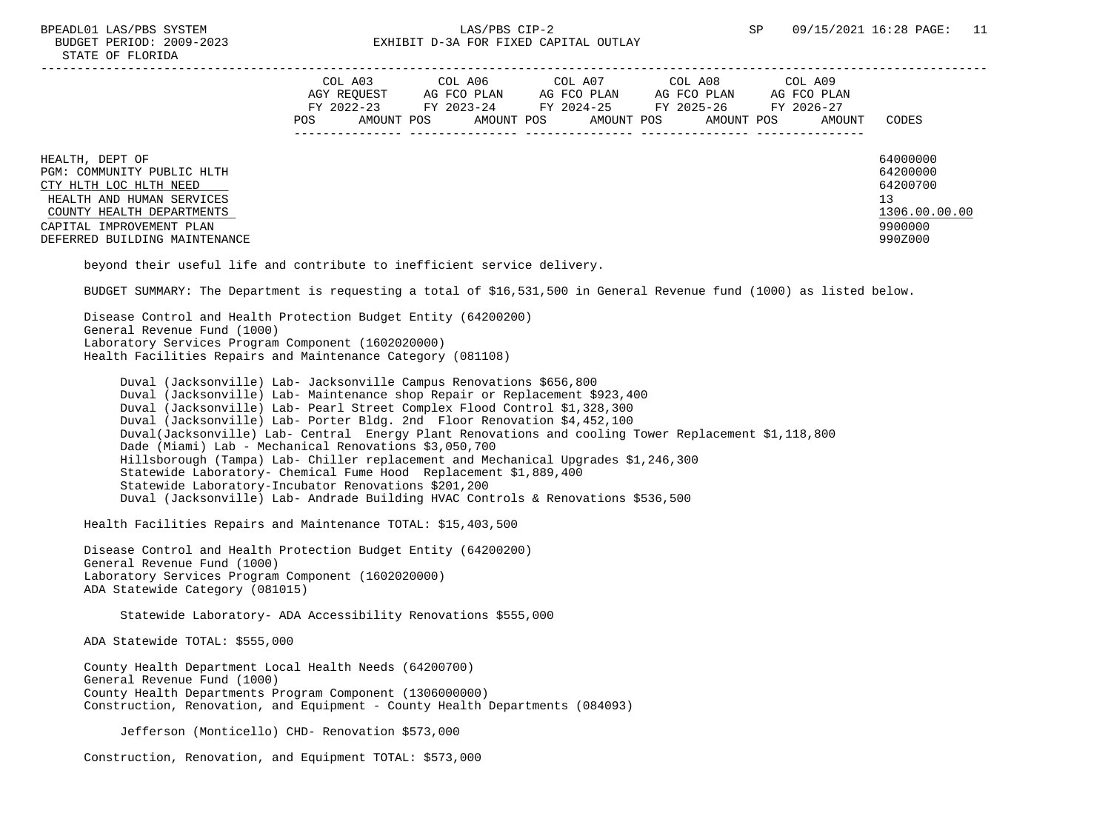|                                                                                                                                                                                                | COL A03<br>AGY REOUEST<br>FY 2022-23<br>POS.<br>AMOUNT POS | COL A06<br>AG FCO PLAN<br>FY 2023-24<br>AMOUNT POS | COL A07<br>AG FCO PLAN<br>FY 2024-25<br>AMOUNT POS | COL A08<br>AG FCO PLAN<br>FY 2025-26<br>AMOUNT POS | COL A09<br>AG FCO PLAN<br>FY 2026-27<br>AMOUNT | CODES                                                                         |
|------------------------------------------------------------------------------------------------------------------------------------------------------------------------------------------------|------------------------------------------------------------|----------------------------------------------------|----------------------------------------------------|----------------------------------------------------|------------------------------------------------|-------------------------------------------------------------------------------|
| HEALTH, DEPT OF<br>PGM: COMMUNITY PUBLIC HLTH<br>CTY HLTH LOC HLTH NEED<br>HEALTH AND HUMAN SERVICES<br>COUNTY HEALTH DEPARTMENTS<br>CAPITAL IMPROVEMENT PLAN<br>DEFERRED BUILDING MAINTENANCE |                                                            |                                                    |                                                    |                                                    |                                                | 64000000<br>64200000<br>64200700<br>13<br>1306.00.00.00<br>9900000<br>990Z000 |

beyond their useful life and contribute to inefficient service delivery.

BUDGET SUMMARY: The Department is requesting a total of \$16,531,500 in General Revenue fund (1000) as listed below.

 Disease Control and Health Protection Budget Entity (64200200) General Revenue Fund (1000) Laboratory Services Program Component (1602020000) Health Facilities Repairs and Maintenance Category (081108)

 Duval (Jacksonville) Lab- Jacksonville Campus Renovations \$656,800 Duval (Jacksonville) Lab- Maintenance shop Repair or Replacement \$923,400 Duval (Jacksonville) Lab- Pearl Street Complex Flood Control \$1,328,300 Duval (Jacksonville) Lab- Porter Bldg. 2nd Floor Renovation \$4,452,100 Duval(Jacksonville) Lab- Central Energy Plant Renovations and cooling Tower Replacement \$1,118,800 Dade (Miami) Lab - Mechanical Renovations \$3,050,700 Hillsborough (Tampa) Lab- Chiller replacement and Mechanical Upgrades \$1,246,300 Statewide Laboratory- Chemical Fume Hood Replacement \$1,889,400 Statewide Laboratory-Incubator Renovations \$201,200 Duval (Jacksonville) Lab- Andrade Building HVAC Controls & Renovations \$536,500

Health Facilities Repairs and Maintenance TOTAL: \$15,403,500

 Disease Control and Health Protection Budget Entity (64200200) General Revenue Fund (1000) Laboratory Services Program Component (1602020000) ADA Statewide Category (081015)

Statewide Laboratory- ADA Accessibility Renovations \$555,000

ADA Statewide TOTAL: \$555,000

 County Health Department Local Health Needs (64200700) General Revenue Fund (1000) County Health Departments Program Component (1306000000) Construction, Renovation, and Equipment - County Health Departments (084093)

Jefferson (Monticello) CHD- Renovation \$573,000

Construction, Renovation, and Equipment TOTAL: \$573,000